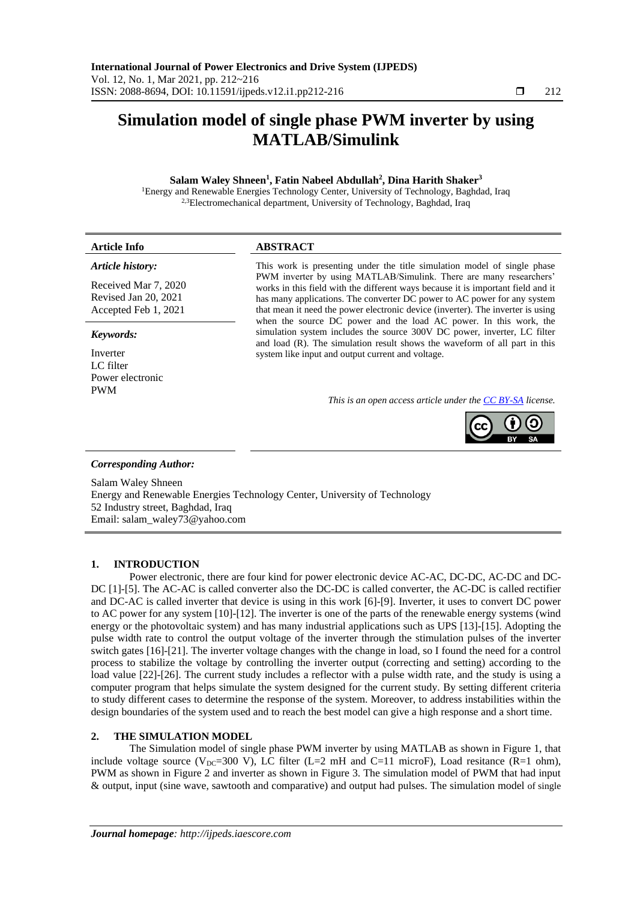# **Simulation model of single phase PWM inverter by using MATLAB/Simulink**

### **Salam Waley Shneen<sup>1</sup> , Fatin Nabeel Abdullah<sup>2</sup> , Dina Harith Shaker<sup>3</sup>**

<sup>1</sup>Energy and Renewable Energies Technology Center, University of Technology, Baghdad, Iraq <sup>2,3</sup>Electromechanical department, University of Technology, Baghdad, Iraq

| <b>Article Info</b> | <b>ABSTRACT</b>                 |  |
|---------------------|---------------------------------|--|
| .                   | $-1$<br>.<br>.<br>$\sim$ $\sim$ |  |

### *Article history:*

Received Mar 7, 2020 Revised Jan 20, 2021 Accepted Feb 1, 2021

### *Keywords:*

Inverter LC filter Power electronic PWM

#### This work is presenting under the title simulation model of single phase PWM inverter by using MATLAB/Simulink. There are many researchers' works in this field with the different ways because it is important field and it has many applications. The converter DC power to AC power for any system that mean it need the power electronic device (inverter). The inverter is using when the source DC power and the load AC power. In this work, the simulation system includes the source 300V DC power, inverter, LC filter and load (R). The simulation result shows the waveform of all part in this system like input and output current and voltage.

*This is an open access article under the [CC BY-SA](https://creativecommons.org/licenses/by-sa/4.0/) license.*



### *Corresponding Author:*

Salam Waley Shneen Energy and Renewable Energies Technology Center, University of Technology 52 Industry street, Baghdad, Iraq Email: salam\_waley73@yahoo.com

### **1. INTRODUCTION**

Power electronic, there are four kind for power electronic device AC-AC, DC-DC, AC-DC and DC-DC [1]-[5]. The AC-AC is called converter also the DC-DC is called converter, the AC-DC is called rectifier and DC-AC is called inverter that device is using in this work [6]-[9]. Inverter, it uses to convert DC power to AC power for any system [10]-[12]. The inverter is one of the parts of the renewable energy systems (wind energy or the photovoltaic system) and has many industrial applications such as UPS [13]-[15]. Adopting the pulse width rate to control the output voltage of the inverter through the stimulation pulses of the inverter switch gates [16]-[21]. The inverter voltage changes with the change in load, so I found the need for a control process to stabilize the voltage by controlling the inverter output (correcting and setting) according to the load value [22]-[26]. The current study includes a reflector with a pulse width rate, and the study is using a computer program that helps simulate the system designed for the current study. By setting different criteria to study different cases to determine the response of the system. Moreover, to address instabilities within the design boundaries of the system used and to reach the best model can give a high response and a short time.

### **2. THE SIMULATION MODEL**

The Simulation model of single phase PWM inverter by using MATLAB as shown in Figure 1, that include voltage source ( $V_{DC}=300$  V), LC filter (L=2 mH and C=11 microF), Load resitance (R=1 ohm), PWM as shown in Figure 2 and inverter as shown in Figure 3. The simulation model of PWM that had input & output, input (sine wave, sawtooth and comparative) and output had pulses. The simulation model of single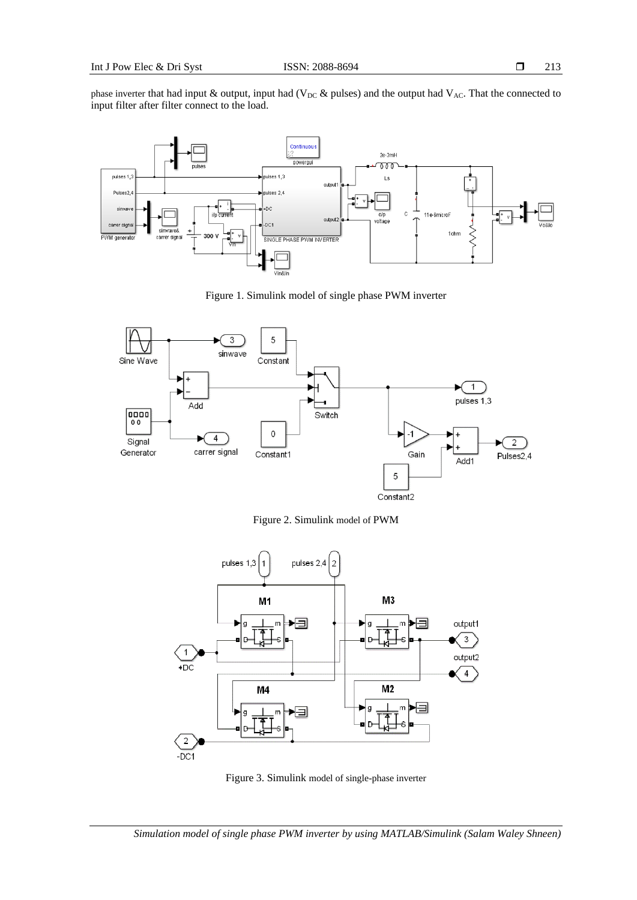phase inverter that had input & output, input had (V<sub>DC</sub> & pulses) and the output had V<sub>AC</sub>. That the connected to input filter after filter connect to the load.



Figure 1. Simulink model of single phase PWM inverter



Figure 2. Simulink model of PWM



Figure 3. Simulink model of single-phase inverter

*Simulation model of single phase PWM inverter by using MATLAB/Simulink (Salam Waley Shneen)*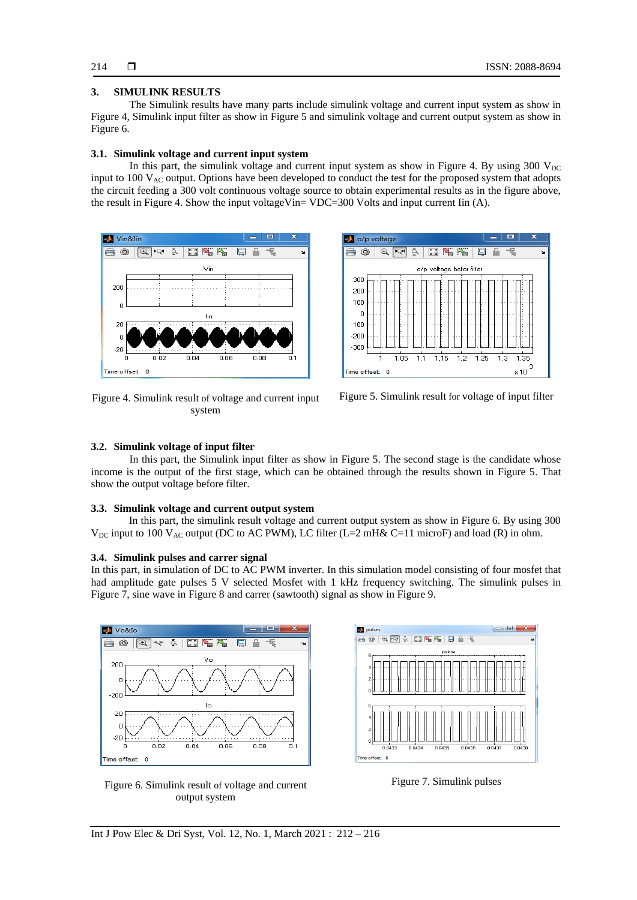# **3. SIMULINK RESULTS**

The Simulink results have many parts include simulink voltage and current input system as show in Figure 4, Simulink input filter as show in Figure 5 and simulink voltage and current output system as show in Figure 6.

## **3.1. Simulink voltage and current input system**

In this part, the simulink voltage and current input system as show in Figure 4. By using  $300$  V<sub>DC</sub> input to  $100$   $V_{AC}$  output. Options have been developed to conduct the test for the proposed system that adopts the circuit feeding a 300 volt continuous voltage source to obtain experimental results as in the figure above, the result in Figure 4. Show the input voltageVin= VDC=300 Volts and input current Iin (A).



Figure 4. Simulink result of voltage and current input system



Figure 5. Simulink result for voltage of input filter

### **3.2. Simulink voltage of input filter**

In this part, the Simulink input filter as show in Figure 5. The second stage is the candidate whose income is the output of the first stage, which can be obtained through the results shown in Figure 5. That show the output voltage before filter.

### **3.3. Simulink voltage and current output system**

In this part, the simulink result voltage and current output system as show in Figure 6. By using 300  $V_{\text{DC}}$  input to 100  $V_{\text{AC}}$  output (DC to AC PWM), LC filter (L=2 mH& C=11 microF) and load (R) in ohm.

### **3.4. Simulink pulses and carrer signal**

In this part, in simulation of DC to AC PWM inverter. In this simulation model consisting of four mosfet that had amplitude gate pulses 5 V selected Mosfet with 1 kHz frequency switching. The simulink pulses in Figure 7, sine wave in Figure 8 and carrer (sawtooth) signal as show in Figure 9.



Figure 6. Simulink result of voltage and current output system



Figure 7. Simulink pulses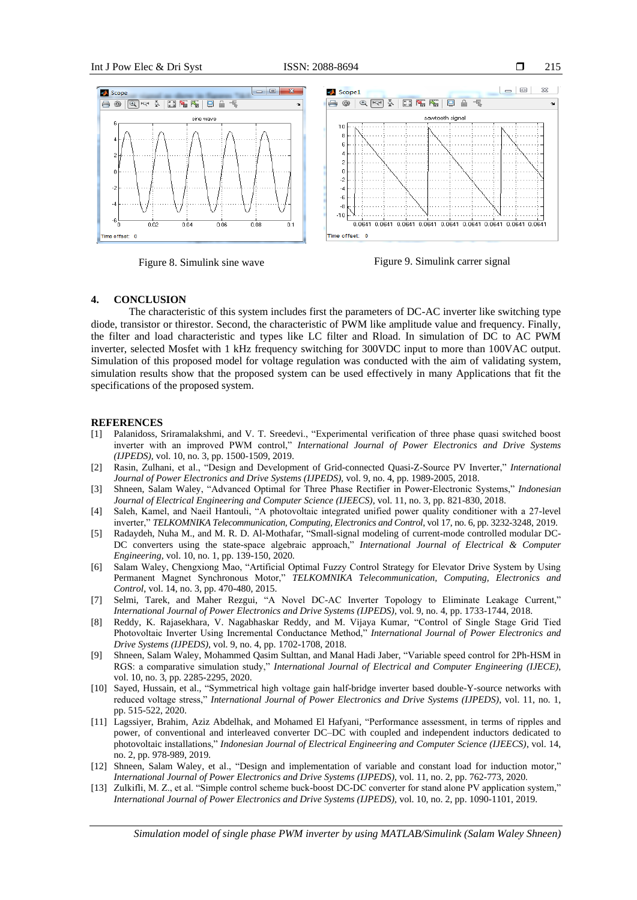

Figure 8. Simulink sine wave Figure 9. Simulink carrer signal

### **4. CONCLUSION**

The characteristic of this system includes first the parameters of DC-AC inverter like switching type diode, transistor or thirestor. Second, the characteristic of PWM like amplitude value and frequency. Finally, the filter and load characteristic and types like LC filter and Rload. In simulation of DC to AC PWM inverter, selected Mosfet with 1 kHz frequency switching for 300VDC input to more than 100VAC output. Simulation of this proposed model for voltage regulation was conducted with the aim of validating system, simulation results show that the proposed system can be used effectively in many Applications that fit the specifications of the proposed system.

### **REFERENCES**

- [1] Palanidoss, Sriramalakshmi, and V. T. Sreedevi., "Experimental verification of three phase quasi switched boost inverter with an improved PWM control," *International Journal of Power Electronics and Drive Systems (IJPEDS)*, vol. 10, no. 3, pp. 1500-1509, 2019.
- [2] Rasin, Zulhani, et al., "Design and Development of Grid-connected Quasi-Z-Source PV Inverter," *International Journal of Power Electronics and Drive Systems (IJPEDS),* vol. 9, no. 4, pp. 1989-2005, 2018.
- [3] Shneen, Salam Waley, "Advanced Optimal for Three Phase Rectifier in Power-Electronic Systems," *Indonesian Journal of Electrical Engineering and Computer Science (IJEECS)*, vol. 11, no. 3, pp. 821-830, 2018.
- [4] Saleh, Kamel, and Naeil Hantouli, "A photovoltaic integrated unified power quality conditioner with a 27-level inverter," *TELKOMNIKA Telecommunication, Computing, Electronics and Control*, vol 17, no. 6, pp. 3232-3248, 2019.
- [5] Radaydeh, Nuha M., and M. R. D. Al-Mothafar, "Small-signal modeling of current-mode controlled modular DC-DC converters using the state-space algebraic approach," *International Journal of Electrical & Computer Engineering,* vol. 10, no. 1, pp. 139-150, 2020.
- [6] Salam Waley, Chengxiong Mao, "Artificial Optimal Fuzzy Control Strategy for Elevator Drive System by Using Permanent Magnet Synchronous Motor," *TELKOMNIKA Telecommunication, Computing, Electronics and Control*, vol. 14, no. 3, pp. 470-480, 2015.
- [7] Selmi, Tarek, and Maher Rezgui, "A Novel DC-AC Inverter Topology to Eliminate Leakage Current," *International Journal of Power Electronics and Drive Systems (IJPEDS)*, vol. 9, no. 4, pp. 1733-1744, 2018.
- [8] Reddy, K. Rajasekhara, V. Nagabhaskar Reddy, and M. Vijaya Kumar, "Control of Single Stage Grid Tied Photovoltaic Inverter Using Incremental Conductance Method," *International Journal of Power Electronics and Drive Systems (IJPEDS)*, vol. 9, no. 4, pp. 1702-1708, 2018.
- [9] Shneen, Salam Waley, Mohammed Qasim Sulttan, and Manal Hadi Jaber, "Variable speed control for 2Ph-HSM in RGS: a comparative simulation study," *International Journal of Electrical and Computer Engineering (IJECE)*, vol. 10, no. 3, pp. 2285-2295, 2020.
- [10] Sayed, Hussain, et al., "Symmetrical high voltage gain half-bridge inverter based double-Y-source networks with reduced voltage stress," *International Journal of Power Electronics and Drive Systems (IJPEDS)*, vol. 11, no. 1, pp. 515-522, 2020.
- [11] Lagssiyer, Brahim, Aziz Abdelhak, and Mohamed El Hafyani, "Performance assessment, in terms of ripples and power, of conventional and interleaved converter DC–DC with coupled and independent inductors dedicated to photovoltaic installations," *Indonesian Journal of Electrical Engineering and Computer Science (IJEECS)*, vol. 14, no. 2, pp. 978-989, 2019.
- [12] Shneen, Salam Waley, et al., "Design and implementation of variable and constant load for induction motor," *International Journal of Power Electronics and Drive Systems (IJPEDS)*, vol. 11, no. 2, pp. 762-773, 2020.
- [13] Zulkifli, M. Z., et al. "Simple control scheme buck-boost DC-DC converter for stand alone PV application system," *International Journal of Power Electronics and Drive Systems (IJPEDS),* vol. 10, no. 2, pp. 1090-1101, 2019.